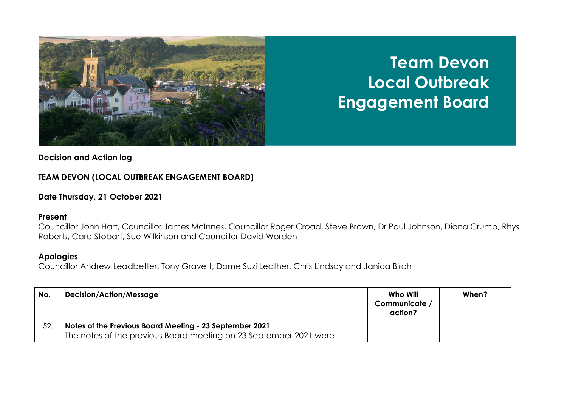

# **Team Devon Local Outbreak Engagement Board**

## **Decision and Action log**

## **TEAM DEVON (LOCAL OUTBREAK ENGAGEMENT BOARD)**

### **Date Thursday, 21 October 2021**

#### **Present**

Councillor John Hart, Councillor James McInnes, Councillor Roger Croad, Steve Brown, Dr Paul Johnson, Diana Crump, Rhys Roberts, Cara Stobart, Sue Wilkinson and Councillor David Worden

### **Apologies**

Councillor Andrew Leadbetter, Tony Gravett, Dame Suzi Leather, Chris Lindsay and Janica Birch

| No. | <b>Decision/Action/Message</b>                                                                                               | Who Will<br>Communicate /<br>action? | When? |
|-----|------------------------------------------------------------------------------------------------------------------------------|--------------------------------------|-------|
| 52. | Notes of the Previous Board Meeting - 23 September 2021<br>The notes of the previous Board meeting on 23 September 2021 were |                                      |       |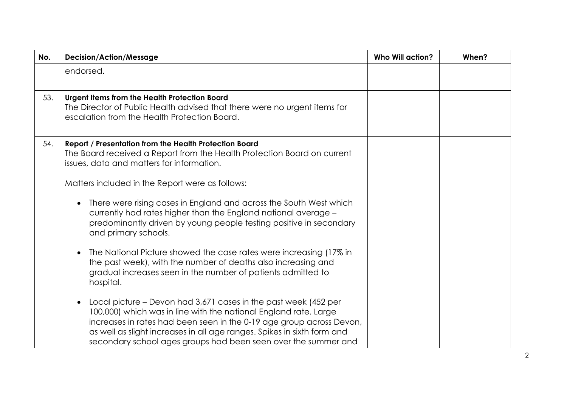| No. | <b>Decision/Action/Message</b>                                                                                                                                                                                                                                                                                                                           | <b>Who Will action?</b> | When? |
|-----|----------------------------------------------------------------------------------------------------------------------------------------------------------------------------------------------------------------------------------------------------------------------------------------------------------------------------------------------------------|-------------------------|-------|
|     | endorsed.                                                                                                                                                                                                                                                                                                                                                |                         |       |
| 53. | Urgent Items from the Health Protection Board<br>The Director of Public Health advised that there were no urgent items for<br>escalation from the Health Protection Board.                                                                                                                                                                               |                         |       |
| 54. | Report / Presentation from the Health Protection Board<br>The Board received a Report from the Health Protection Board on current<br>issues, data and matters for information.                                                                                                                                                                           |                         |       |
|     | Matters included in the Report were as follows:                                                                                                                                                                                                                                                                                                          |                         |       |
|     | There were rising cases in England and across the South West which<br>currently had rates higher than the England national average -<br>predominantly driven by young people testing positive in secondary<br>and primary schools.                                                                                                                       |                         |       |
|     | The National Picture showed the case rates were increasing (17% in<br>the past week), with the number of deaths also increasing and<br>gradual increases seen in the number of patients admitted to<br>hospital.                                                                                                                                         |                         |       |
|     | Local picture – Devon had 3,671 cases in the past week (452 per<br>100,000) which was in line with the national England rate. Large<br>increases in rates had been seen in the 0-19 age group across Devon,<br>as well as slight increases in all age ranges. Spikes in sixth form and<br>secondary school ages groups had been seen over the summer and |                         |       |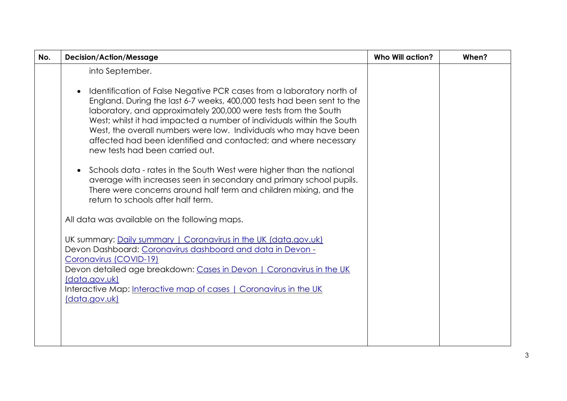| No. | <b>Decision/Action/Message</b>                                                                                                                                                                                                                                                                                                                                                                                                                                         | <b>Who Will action?</b> | When? |
|-----|------------------------------------------------------------------------------------------------------------------------------------------------------------------------------------------------------------------------------------------------------------------------------------------------------------------------------------------------------------------------------------------------------------------------------------------------------------------------|-------------------------|-------|
|     | into September.                                                                                                                                                                                                                                                                                                                                                                                                                                                        |                         |       |
|     | Identification of False Negative PCR cases from a laboratory north of<br>England. During the last 6-7 weeks, 400,000 tests had been sent to the<br>laboratory, and approximately 200,000 were tests from the South<br>West; whilst it had impacted a number of individuals within the South<br>West, the overall numbers were low. Individuals who may have been<br>affected had been identified and contacted; and where necessary<br>new tests had been carried out. |                         |       |
|     | Schools data - rates in the South West were higher than the national<br>$\bullet$<br>average with increases seen in secondary and primary school pupils.<br>There were concerns around half term and children mixing, and the<br>return to schools after half term.                                                                                                                                                                                                    |                         |       |
|     | All data was available on the following maps.                                                                                                                                                                                                                                                                                                                                                                                                                          |                         |       |
|     | UK summary: Daily summary   Coronavirus in the UK (data.gov.uk)<br>Devon Dashboard: Coronavirus dashboard and data in Devon -<br>Coronavirus (COVID-19)<br>Devon detailed age breakdown: Cases in Devon   Coronavirus in the UK<br>(data.gov.uk)<br>Interactive Map: Interactive map of cases   Coronavirus in the UK<br>(data.gov.uk)                                                                                                                                 |                         |       |
|     |                                                                                                                                                                                                                                                                                                                                                                                                                                                                        |                         |       |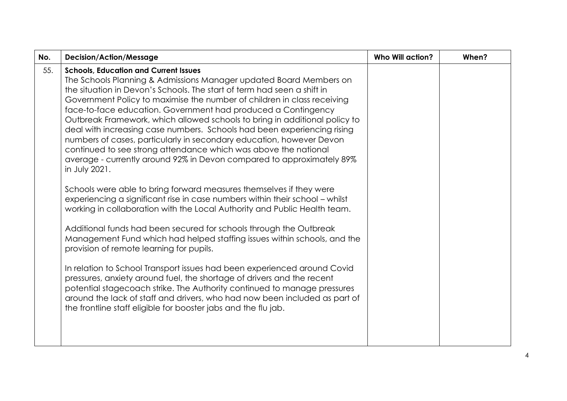| No. | <b>Decision/Action/Message</b>                                                                                                                                                                                                                                                                                                                                                                                                                                                                                                                                                                                                                                                                                                                                                                                                                                                                                                                                                                                                                                                                                                                                                                                                                                                                                                                                                                                                                                                                                                                              | <b>Who Will action?</b> | When? |
|-----|-------------------------------------------------------------------------------------------------------------------------------------------------------------------------------------------------------------------------------------------------------------------------------------------------------------------------------------------------------------------------------------------------------------------------------------------------------------------------------------------------------------------------------------------------------------------------------------------------------------------------------------------------------------------------------------------------------------------------------------------------------------------------------------------------------------------------------------------------------------------------------------------------------------------------------------------------------------------------------------------------------------------------------------------------------------------------------------------------------------------------------------------------------------------------------------------------------------------------------------------------------------------------------------------------------------------------------------------------------------------------------------------------------------------------------------------------------------------------------------------------------------------------------------------------------------|-------------------------|-------|
| 55. | <b>Schools, Education and Current Issues</b><br>The Schools Planning & Admissions Manager updated Board Members on<br>the situation in Devon's Schools. The start of term had seen a shift in<br>Government Policy to maximise the number of children in class receiving<br>face-to-face education. Government had produced a Contingency<br>Outbreak Framework, which allowed schools to bring in additional policy to<br>deal with increasing case numbers. Schools had been experiencing rising<br>numbers of cases, particularly in secondary education, however Devon<br>continued to see strong attendance which was above the national<br>average - currently around 92% in Devon compared to approximately 89%<br>in July 2021.<br>Schools were able to bring forward measures themselves if they were<br>experiencing a significant rise in case numbers within their school - whilst<br>working in collaboration with the Local Authority and Public Health team.<br>Additional funds had been secured for schools through the Outbreak<br>Management Fund which had helped staffing issues within schools, and the<br>provision of remote learning for pupils.<br>In relation to School Transport issues had been experienced around Covid<br>pressures, anxiety around fuel, the shortage of drivers and the recent<br>potential stagecoach strike. The Authority continued to manage pressures<br>around the lack of staff and drivers, who had now been included as part of<br>the frontline staff eligible for booster jabs and the flu jab. |                         |       |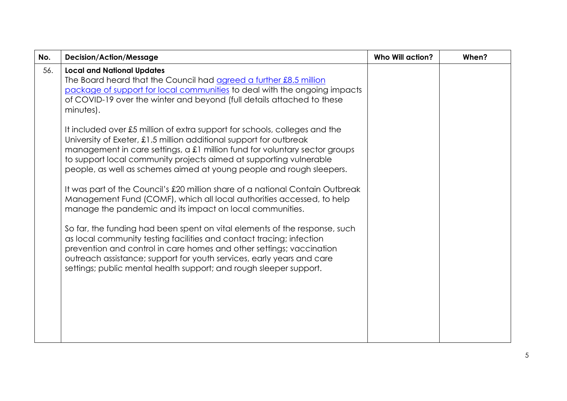| No. | <b>Decision/Action/Message</b>                                                                                                                                                                                                                                                                                                                                               | <b>Who Will action?</b> | When? |
|-----|------------------------------------------------------------------------------------------------------------------------------------------------------------------------------------------------------------------------------------------------------------------------------------------------------------------------------------------------------------------------------|-------------------------|-------|
| 56. | <b>Local and National Updates</b><br>The Board heard that the Council had agreed a further £8.5 million<br>package of support for local communities to deal with the ongoing impacts<br>of COVID-19 over the winter and beyond (full details attached to these<br>minutes).                                                                                                  |                         |       |
|     | It included over £5 million of extra support for schools, colleges and the<br>University of Exeter, £1.5 million additional support for outbreak<br>management in care settings, a £1 million fund for voluntary sector groups<br>to support local community projects aimed at supporting vulnerable<br>people, as well as schemes aimed at young people and rough sleepers. |                         |       |
|     | It was part of the Council's £20 million share of a national Contain Outbreak<br>Management Fund (COMF), which all local authorities accessed, to help<br>manage the pandemic and its impact on local communities.                                                                                                                                                           |                         |       |
|     | So far, the funding had been spent on vital elements of the response, such<br>as local community testing facilities and contact tracing; infection<br>prevention and control in care homes and other settings; vaccination<br>outreach assistance; support for youth services, early years and care<br>settings; public mental health support; and rough sleeper support.    |                         |       |
|     |                                                                                                                                                                                                                                                                                                                                                                              |                         |       |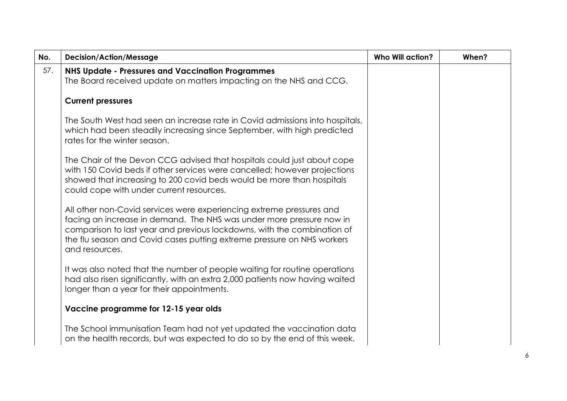| No. | <b>Decision/Action/Message</b>                                                                                                                                                                                                                                                                                      | <b>Who Will action?</b> | When? |
|-----|---------------------------------------------------------------------------------------------------------------------------------------------------------------------------------------------------------------------------------------------------------------------------------------------------------------------|-------------------------|-------|
| 57. | <b>NHS Update - Pressures and Vaccination Programmes</b><br>The Board received update on matters impacting on the NHS and CCG.                                                                                                                                                                                      |                         |       |
|     | <b>Current pressures</b>                                                                                                                                                                                                                                                                                            |                         |       |
|     | The South West had seen an increase rate in Covid admissions into hospitals,<br>which had been steadily increasing since September, with high predicted<br>rates for the winter season.                                                                                                                             |                         |       |
|     | The Chair of the Devon CCG advised that hospitals could just about cope<br>with 150 Covid beds if other services were cancelled; however projections<br>showed that increasing to 200 covid beds would be more than hospitals<br>could cope with under current resources.                                           |                         |       |
|     | All other non-Covid services were experiencing extreme pressures and<br>facing an increase in demand. The NHS was under more pressure now in<br>comparison to last year and previous lockdowns, with the combination of<br>the flu season and Covid cases putting extreme pressure on NHS workers<br>and resources. |                         |       |
|     | It was also noted that the number of people waiting for routine operations<br>had also risen significantly, with an extra 2,000 patients now having waited<br>longer than a year for their appointments.                                                                                                            |                         |       |
|     | Vaccine programme for 12-15 year olds                                                                                                                                                                                                                                                                               |                         |       |
|     | The School immunisation Team had not yet updated the vaccination data<br>on the health records, but was expected to do so by the end of this week.                                                                                                                                                                  |                         |       |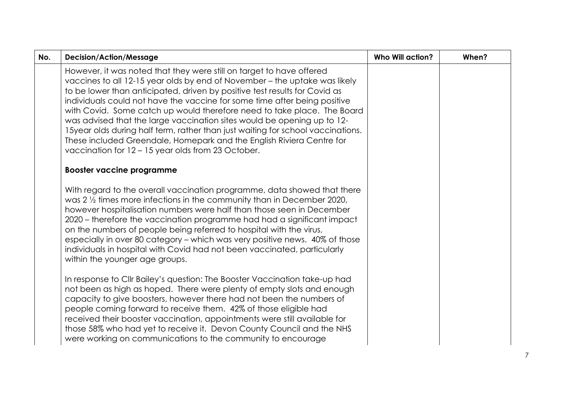| <b>Decision/Action/Message</b>                                                                                                                                                                                                                                                                                                                                                                                                                                                                                                                                                                                                                                                        | <b>Who Will action?</b> | When? |
|---------------------------------------------------------------------------------------------------------------------------------------------------------------------------------------------------------------------------------------------------------------------------------------------------------------------------------------------------------------------------------------------------------------------------------------------------------------------------------------------------------------------------------------------------------------------------------------------------------------------------------------------------------------------------------------|-------------------------|-------|
| However, it was noted that they were still on target to have offered<br>vaccines to all 12-15 year olds by end of November - the uptake was likely<br>to be lower than anticipated, driven by positive test results for Covid as<br>individuals could not have the vaccine for some time after being positive<br>with Covid. Some catch up would therefore need to take place. The Board<br>was advised that the large vaccination sites would be opening up to 12-<br>15year olds during half term, rather than just waiting for school vaccinations.<br>These included Greendale, Homepark and the English Riviera Centre for<br>vaccination for 12 - 15 year olds from 23 October. |                         |       |
| <b>Booster vaccine programme</b>                                                                                                                                                                                                                                                                                                                                                                                                                                                                                                                                                                                                                                                      |                         |       |
| With regard to the overall vaccination programme, data showed that there<br>was $2\frac{1}{2}$ times more infections in the community than in December 2020,<br>however hospitalisation numbers were half than those seen in December<br>2020 – therefore the vaccination programme had had a significant impact<br>on the numbers of people being referred to hospital with the virus,<br>especially in over 80 category - which was very positive news. 40% of those<br>individuals in hospital with Covid had not been vaccinated, particularly<br>within the younger age groups.                                                                                                  |                         |       |
| In response to Cllr Bailey's question: The Booster Vaccination take-up had<br>not been as high as hoped. There were plenty of empty slots and enough<br>capacity to give boosters, however there had not been the numbers of<br>people coming forward to receive them. 42% of those eligible had<br>received their booster vaccination, appointments were still available for<br>those 58% who had yet to receive it. Devon County Council and the NHS<br>were working on communications to the community to encourage                                                                                                                                                                |                         |       |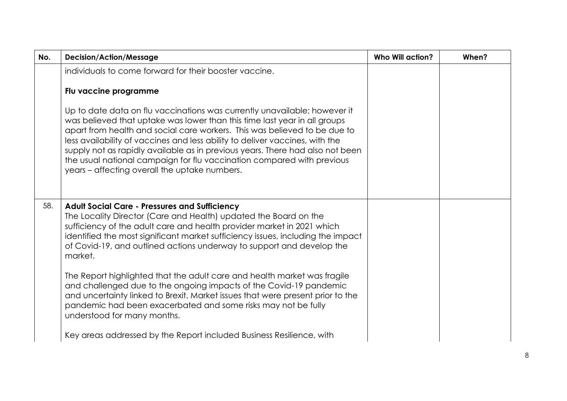| No. | <b>Decision/Action/Message</b>                                                                                                                                                                                                                                                                                                                                                                                                                                                                                                  | <b>Who Will action?</b> | When? |
|-----|---------------------------------------------------------------------------------------------------------------------------------------------------------------------------------------------------------------------------------------------------------------------------------------------------------------------------------------------------------------------------------------------------------------------------------------------------------------------------------------------------------------------------------|-------------------------|-------|
|     | individuals to come forward for their booster vaccine.                                                                                                                                                                                                                                                                                                                                                                                                                                                                          |                         |       |
|     | Flu vaccine programme                                                                                                                                                                                                                                                                                                                                                                                                                                                                                                           |                         |       |
|     | Up to date data on flu vaccinations was currently unavailable; however it<br>was believed that uptake was lower than this time last year in all groups<br>apart from health and social care workers. This was believed to be due to<br>less availability of vaccines and less ability to deliver vaccines, with the<br>supply not as rapidly available as in previous years. There had also not been<br>the usual national campaign for flu vaccination compared with previous<br>years – affecting overall the uptake numbers. |                         |       |
| 58. | <b>Adult Social Care - Pressures and Sufficiency</b><br>The Locality Director (Care and Health) updated the Board on the<br>sufficiency of the adult care and health provider market in 2021 which<br>identified the most significant market sufficiency issues, including the impact<br>of Covid-19, and outlined actions underway to support and develop the<br>market.                                                                                                                                                       |                         |       |
|     | The Report highlighted that the adult care and health market was fragile<br>and challenged due to the ongoing impacts of the Covid-19 pandemic<br>and uncertainty linked to Brexit. Market issues that were present prior to the<br>pandemic had been exacerbated and some risks may not be fully<br>understood for many months.                                                                                                                                                                                                |                         |       |
|     | Key areas addressed by the Report included Business Resilience, with                                                                                                                                                                                                                                                                                                                                                                                                                                                            |                         |       |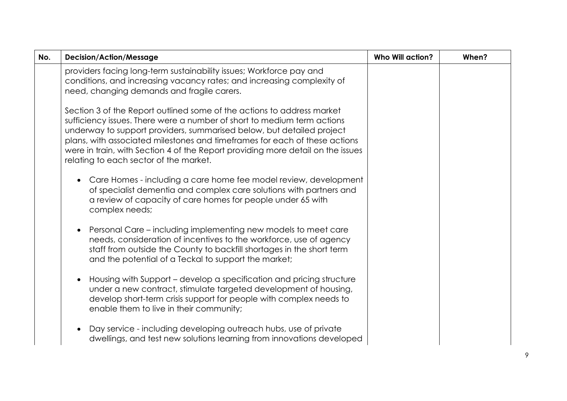| No. | <b>Decision/Action/Message</b>                                                                                                                                                                                                                                                                                                                                                                                                        | <b>Who Will action?</b> | When? |
|-----|---------------------------------------------------------------------------------------------------------------------------------------------------------------------------------------------------------------------------------------------------------------------------------------------------------------------------------------------------------------------------------------------------------------------------------------|-------------------------|-------|
|     | providers facing long-term sustainability issues; Workforce pay and<br>conditions, and increasing vacancy rates; and increasing complexity of<br>need, changing demands and fragile carers.                                                                                                                                                                                                                                           |                         |       |
|     | Section 3 of the Report outlined some of the actions to address market<br>sufficiency issues. There were a number of short to medium term actions<br>underway to support providers, summarised below, but detailed project<br>plans, with associated milestones and timeframes for each of these actions<br>were in train, with Section 4 of the Report providing more detail on the issues<br>relating to each sector of the market. |                         |       |
|     | Care Homes - including a care home fee model review, development<br>of specialist dementia and complex care solutions with partners and<br>a review of capacity of care homes for people under 65 with<br>complex needs;                                                                                                                                                                                                              |                         |       |
|     | Personal Care – including implementing new models to meet care<br>needs, consideration of incentives to the workforce, use of agency<br>staff from outside the County to backfill shortages in the short term<br>and the potential of a Teckal to support the market;                                                                                                                                                                 |                         |       |
|     | Housing with Support - develop a specification and pricing structure<br>under a new contract, stimulate targeted development of housing,<br>develop short-term crisis support for people with complex needs to<br>enable them to live in their community;                                                                                                                                                                             |                         |       |
|     | Day service - including developing outreach hubs, use of private<br>dwellings, and test new solutions learning from innovations developed                                                                                                                                                                                                                                                                                             |                         |       |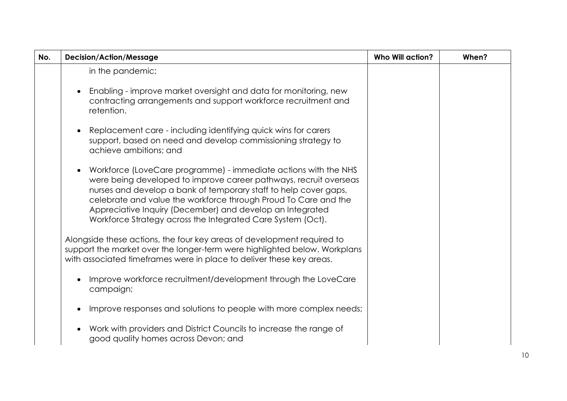| No. | <b>Decision/Action/Message</b>                                                                                                                                                                                                                                                                                                                                                                          | <b>Who Will action?</b> | When? |
|-----|---------------------------------------------------------------------------------------------------------------------------------------------------------------------------------------------------------------------------------------------------------------------------------------------------------------------------------------------------------------------------------------------------------|-------------------------|-------|
|     | in the pandemic;                                                                                                                                                                                                                                                                                                                                                                                        |                         |       |
|     | Enabling - improve market oversight and data for monitoring, new<br>contracting arrangements and support workforce recruitment and<br>retention.                                                                                                                                                                                                                                                        |                         |       |
|     | Replacement care - including identifying quick wins for carers<br>support, based on need and develop commissioning strategy to<br>achieve ambitions; and                                                                                                                                                                                                                                                |                         |       |
|     | Workforce (LoveCare programme) - immediate actions with the NHS<br>were being developed to improve career pathways, recruit overseas<br>nurses and develop a bank of temporary staff to help cover gaps,<br>celebrate and value the workforce through Proud To Care and the<br>Appreciative Inquiry (December) and develop an Integrated<br>Workforce Strategy across the Integrated Care System (Oct). |                         |       |
|     | Alongside these actions, the four key areas of development required to<br>support the market over the longer-term were highlighted below. Workplans<br>with associated timeframes were in place to deliver these key areas.                                                                                                                                                                             |                         |       |
|     | Improve workforce recruitment/development through the LoveCare<br>campaign;                                                                                                                                                                                                                                                                                                                             |                         |       |
|     | Improve responses and solutions to people with more complex needs;                                                                                                                                                                                                                                                                                                                                      |                         |       |
|     | Work with providers and District Councils to increase the range of<br>good quality homes across Devon; and                                                                                                                                                                                                                                                                                              |                         |       |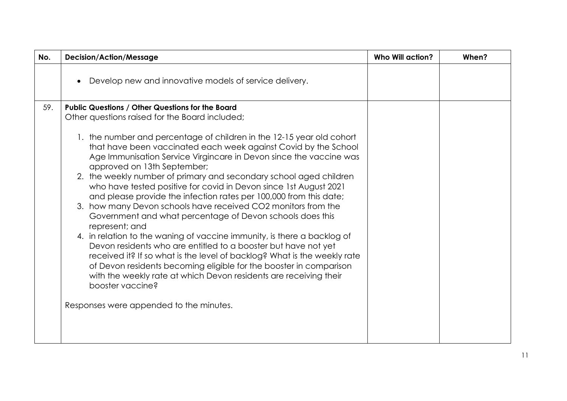| No. | <b>Decision/Action/Message</b>                                                                                                                                                                                                                                                                                                                                                                                                                                                                                                                                                                                                                                                                                                                                                                                                                                                                                                                                                                         | <b>Who Will action?</b> | When? |
|-----|--------------------------------------------------------------------------------------------------------------------------------------------------------------------------------------------------------------------------------------------------------------------------------------------------------------------------------------------------------------------------------------------------------------------------------------------------------------------------------------------------------------------------------------------------------------------------------------------------------------------------------------------------------------------------------------------------------------------------------------------------------------------------------------------------------------------------------------------------------------------------------------------------------------------------------------------------------------------------------------------------------|-------------------------|-------|
|     | Develop new and innovative models of service delivery.                                                                                                                                                                                                                                                                                                                                                                                                                                                                                                                                                                                                                                                                                                                                                                                                                                                                                                                                                 |                         |       |
| 59. | <b>Public Questions / Other Questions for the Board</b>                                                                                                                                                                                                                                                                                                                                                                                                                                                                                                                                                                                                                                                                                                                                                                                                                                                                                                                                                |                         |       |
|     | Other questions raised for the Board included;                                                                                                                                                                                                                                                                                                                                                                                                                                                                                                                                                                                                                                                                                                                                                                                                                                                                                                                                                         |                         |       |
|     | 1. the number and percentage of children in the 12-15 year old cohort<br>that have been vaccinated each week against Covid by the School<br>Age Immunisation Service Virgincare in Devon since the vaccine was<br>approved on 13th September;<br>2. the weekly number of primary and secondary school aged children<br>who have tested positive for covid in Devon since 1st August 2021<br>and please provide the infection rates per 100,000 from this date;<br>3. how many Devon schools have received CO2 monitors from the<br>Government and what percentage of Devon schools does this<br>represent; and<br>4. in relation to the waning of vaccine immunity, is there a backlog of<br>Devon residents who are entitled to a booster but have not yet<br>received it? If so what is the level of backlog? What is the weekly rate<br>of Devon residents becoming eligible for the booster in comparison<br>with the weekly rate at which Devon residents are receiving their<br>booster vaccine? |                         |       |
|     | Responses were appended to the minutes.                                                                                                                                                                                                                                                                                                                                                                                                                                                                                                                                                                                                                                                                                                                                                                                                                                                                                                                                                                |                         |       |
|     |                                                                                                                                                                                                                                                                                                                                                                                                                                                                                                                                                                                                                                                                                                                                                                                                                                                                                                                                                                                                        |                         |       |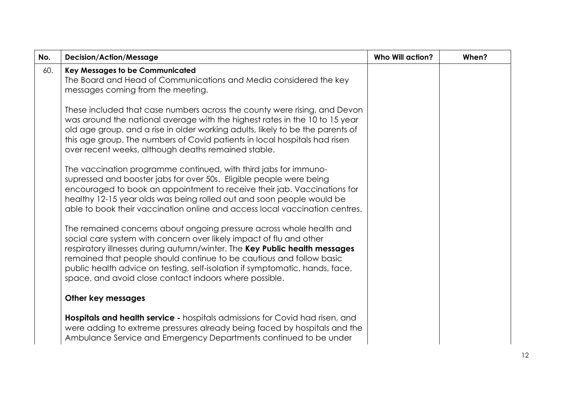| No. | <b>Decision/Action/Message</b>                                                                                                                                                                                                                                                                                                                                                                                                              | <b>Who Will action?</b> | When? |
|-----|---------------------------------------------------------------------------------------------------------------------------------------------------------------------------------------------------------------------------------------------------------------------------------------------------------------------------------------------------------------------------------------------------------------------------------------------|-------------------------|-------|
| 60. | <b>Key Messages to be Communicated</b><br>The Board and Head of Communications and Media considered the key<br>messages coming from the meeting.                                                                                                                                                                                                                                                                                            |                         |       |
|     | These included that case numbers across the county were rising, and Devon<br>was around the national average with the highest rates in the 10 to 15 year<br>old age group, and a rise in older working adults, likely to be the parents of<br>this age group. The numbers of Covid patients in local hospitals had risen<br>over recent weeks, although deaths remained stable.                                                             |                         |       |
|     | The vaccination programme continued, with third jabs for immuno-<br>supressed and booster jabs for over 50s. Eligible people were being<br>encouraged to book an appointment to receive their jab. Vaccinations for<br>healthy 12-15 year olds was being rolled out and soon people would be<br>able to book their vaccination online and access local vaccination centres.                                                                 |                         |       |
|     | The remained concerns about ongoing pressure across whole health and<br>social care system with concern over likely impact of flu and other<br>respiratory illnesses during autumn/winter. The Key Public health messages<br>remained that people should continue to be cautious and follow basic<br>public health advice on testing, self-isolation if symptomatic, hands, face,<br>space, and avoid close contact indoors where possible. |                         |       |
|     | Other key messages                                                                                                                                                                                                                                                                                                                                                                                                                          |                         |       |
|     | <b>Hospitals and health service - hospitals admissions for Covid had risen, and</b><br>were adding to extreme pressures already being faced by hospitals and the<br>Ambulance Service and Emergency Departments continued to be under                                                                                                                                                                                                       |                         |       |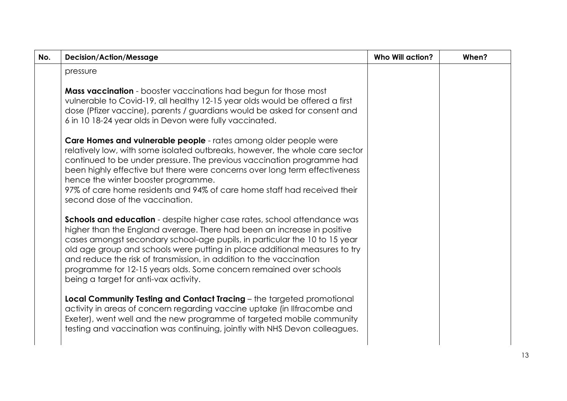| No. | <b>Decision/Action/Message</b>                                                                                                                                                                                                                                                                                                                                                                                                                                                                        | <b>Who Will action?</b> | When? |
|-----|-------------------------------------------------------------------------------------------------------------------------------------------------------------------------------------------------------------------------------------------------------------------------------------------------------------------------------------------------------------------------------------------------------------------------------------------------------------------------------------------------------|-------------------------|-------|
|     | pressure                                                                                                                                                                                                                                                                                                                                                                                                                                                                                              |                         |       |
|     | <b>Mass vaccination</b> - booster vaccinations had begun for those most<br>vulnerable to Covid-19, all healthy 12-15 year olds would be offered a first<br>dose (Pfizer vaccine), parents / guardians would be asked for consent and<br>6 in 10 18-24 year olds in Devon were fully vaccinated.                                                                                                                                                                                                       |                         |       |
|     | Care Homes and vulnerable people - rates among older people were<br>relatively low, with some isolated outbreaks, however, the whole care sector<br>continued to be under pressure. The previous vaccination programme had<br>been highly effective but there were concerns over long term effectiveness<br>hence the winter booster programme.<br>97% of care home residents and 94% of care home staff had received their<br>second dose of the vaccination.                                        |                         |       |
|     | Schools and education - despite higher case rates, school attendance was<br>higher than the England average. There had been an increase in positive<br>cases amongst secondary school-age pupils, in particular the 10 to 15 year<br>old age group and schools were putting in place additional measures to try<br>and reduce the risk of transmission, in addition to the vaccination<br>programme for 12-15 years olds. Some concern remained over schools<br>being a target for anti-vax activity. |                         |       |
|     | Local Community Testing and Contact Tracing - the targeted promotional<br>activity in areas of concern regarding vaccine uptake (in Ilfracombe and<br>Exeter), went well and the new programme of targeted mobile community<br>testing and vaccination was continuing, jointly with NHS Devon colleagues.                                                                                                                                                                                             |                         |       |